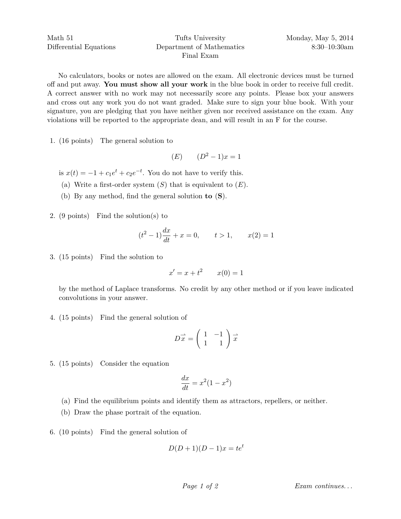Math 51 Differential Equations

## Tufts University Department of Mathematics Final Exam

No calculators, books or notes are allowed on the exam. All electronic devices must be turned off and put away. **You must show all your work** in the blue book in order to receive full credit. A correct answer with no work may not necessarily score any points. Please box your answers and cross out any work you do not want graded. Make sure to sign your blue book. With your signature, you are pledging that you have neither given nor received assistance on the exam. Any violations will be reported to the appropriate dean, and will result in an F for the course.

1. (16 points) The general solution to

$$
(E) \qquad (D^2 - 1)x = 1
$$

is  $x(t) = -1 + c_1 e^t + c_2 e^{-t}$ . You do not have to verify this.

- (a) Write a first-order system  $(S)$  that is equivalent to  $(E)$ .
- (b) By any method, find the general solution **to** (**S**).
- 2. (9 points) Find the solution(s) to

$$
(t2 - 1)\frac{dx}{dt} + x = 0, \t t > 1, \t x(2) = 1
$$

3. (15 points) Find the solution to

$$
x' = x + t^2 \qquad x(0) = 1
$$

by the method of Laplace transforms. No credit by any other method or if you leave indicated convolutions in your answer.

4. (15 points) Find the general solution of

$$
D\vec{x} = \begin{pmatrix} 1 & -1 \\ 1 & 1 \end{pmatrix} \vec{x}
$$

5. (15 points) Consider the equation

$$
\frac{dx}{dt} = x^2(1 - x^2)
$$

- (a) Find the equilibrium points and identify them as attractors, repellers, or neither.
- (b) Draw the phase portrait of the equation.
- 6. (10 points) Find the general solution of

$$
D(D+1)(D-1)x = te^t
$$